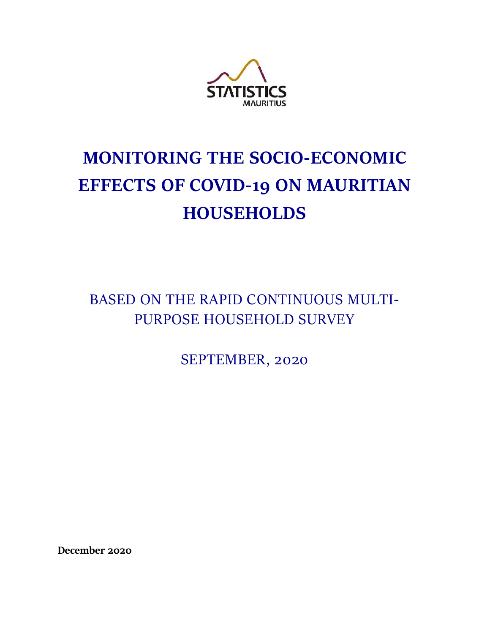

# **MONITORING THE SOCIO-ECONOMIC EFFECTS OF COVID-19 ON MAURITIAN HOUSEHOLDS**

BASED ON THE RAPID CONTINUOUS MULTI-PURPOSE HOUSEHOLD SURVEY

SEPTEMBER, 2020

**December 2020**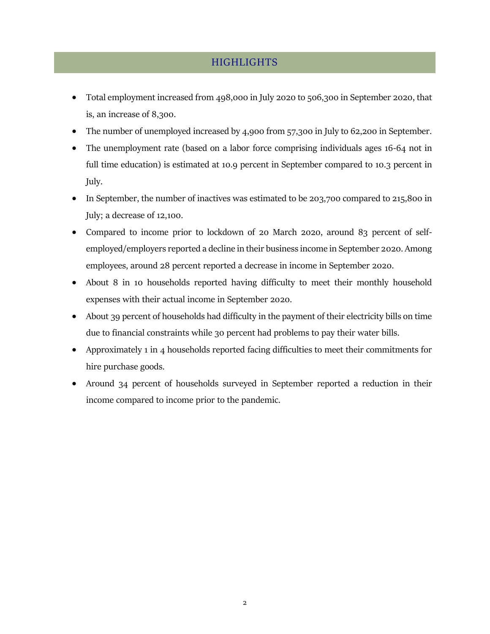## **HIGHLIGHTS**

- <span id="page-1-0"></span>• Total employment increased from 498,000 in July 2020 to 506,300 in September 2020, that is, an increase of 8,300.
- The number of unemployed increased by 4,900 from 57,300 in July to 62,200 in September.
- The unemployment rate (based on a labor force comprising individuals ages 16-64 not in full time education) is estimated at 10.9 percent in September compared to 10.3 percent in July.
- In September, the number of inactives was estimated to be 203,700 compared to 215,800 in July; a decrease of 12,100.
- Compared to income prior to lockdown of 20 March 2020, around 83 percent of selfemployed/employers reported a decline in their business income in September 2020. Among employees, around 28 percent reported a decrease in income in September 2020.
- About 8 in 10 households reported having difficulty to meet their monthly household expenses with their actual income in September 2020.
- About 39 percent of households had difficulty in the payment of their electricity bills on time due to financial constraints while 30 percent had problems to pay their water bills.
- Approximately 1 in 4 households reported facing difficulties to meet their commitments for hire purchase goods.
- Around 34 percent of households surveyed in September reported a reduction in their income compared to income prior to the pandemic.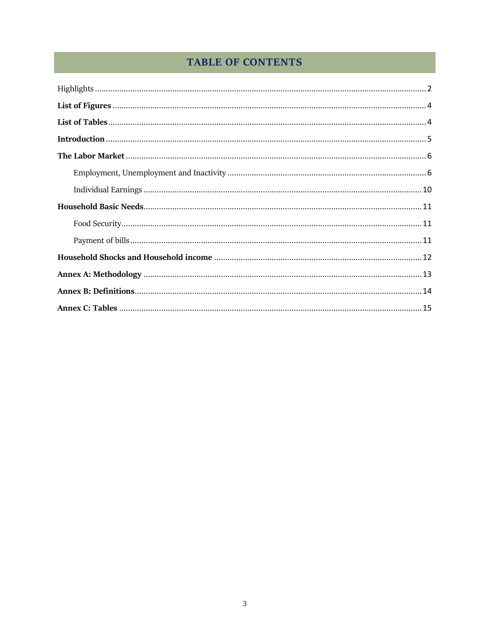# **TABLE OF CONTENTS**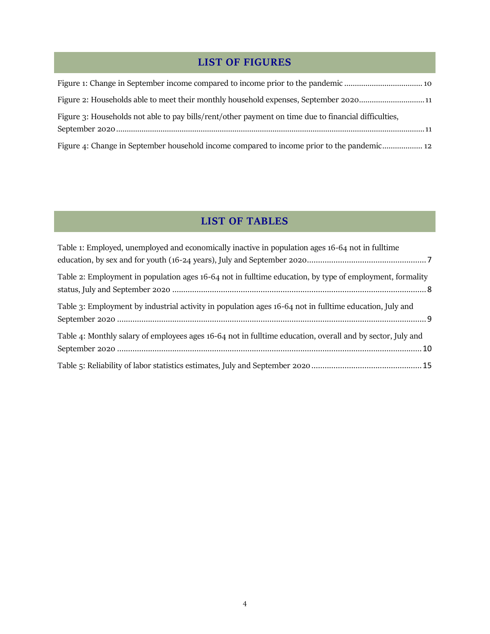# **LIST OF FIGURES**

<span id="page-3-0"></span>

| Figure 2: Households able to meet their monthly household expenses, September 202011                 |
|------------------------------------------------------------------------------------------------------|
| Figure 3: Households not able to pay bills/rent/other payment on time due to financial difficulties, |
| Figure 4: Change in September household income compared to income prior to the pandemic 12           |

## **LIST OF TABLES**

<span id="page-3-1"></span>

| Table 1: Employed, unemployed and economically inactive in population ages 16-64 not in fulltime           |  |
|------------------------------------------------------------------------------------------------------------|--|
|                                                                                                            |  |
| Table 2: Employment in population ages 16-64 not in fulltime education, by type of employment, formality   |  |
| Table 3: Employment by industrial activity in population ages 16-64 not in fulltime education, July and    |  |
| Table 4: Monthly salary of employees ages 16-64 not in fulltime education, overall and by sector, July and |  |
|                                                                                                            |  |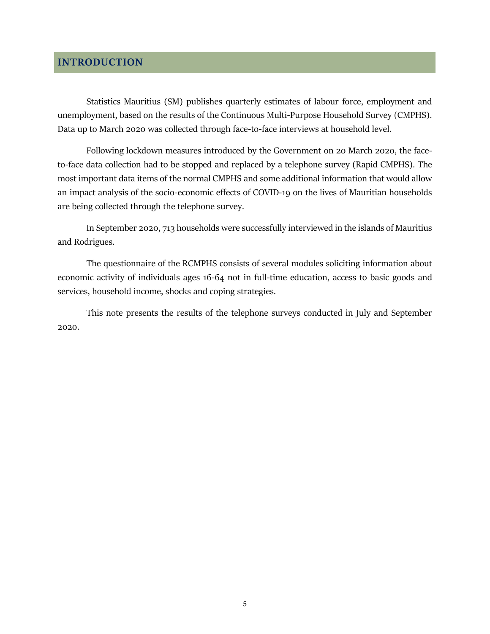## <span id="page-4-0"></span>**INTRODUCTION**

Statistics Mauritius (SM) publishes quarterly estimates of labour force, employment and unemployment, based on the results of the Continuous Multi-Purpose Household Survey (CMPHS). Data up to March 2020 was collected through face-to-face interviews at household level.

Following lockdown measures introduced by the Government on 20 March 2020, the faceto-face data collection had to be stopped and replaced by a telephone survey (Rapid CMPHS). The most important data items of the normal CMPHS and some additional information that would allow an impact analysis of the socio-economic effects of COVID-19 on the lives of Mauritian households are being collected through the telephone survey.

In September 2020, 713 households were successfully interviewed in the islands of Mauritius and Rodrigues.

The questionnaire of the RCMPHS consists of several modules soliciting information about economic activity of individuals ages 16-64 not in full-time education, access to basic goods and services, household income, shocks and coping strategies.

This note presents the results of the telephone surveys conducted in July and September 2020.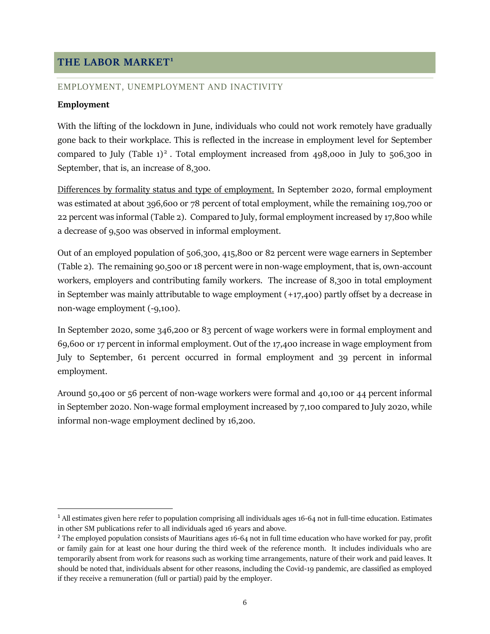## <span id="page-5-0"></span>**THE LABOR MARKET<sup>1</sup>**

#### <span id="page-5-1"></span>EMPLOYMENT, UNEMPLOYMENT AND INACTIVITY

#### **Employment**

 $\overline{a}$ 

With the lifting of the lockdown in June, individuals who could not work remotely have gradually gone back to their workplace. This is reflected in the increase in employment level for September compared to July (Table  $1)^2$ . Total employment increased from 498,000 in July to 506,300 in September, that is, an increase of 8,300.

Differences by formality status and type of employment. In September 2020, formal employment was estimated at about 396,600 or 78 percent of total employment, while the remaining 109,700 or 22 percent was informal (Table 2). Compared to July, formal employment increased by 17,800 while a decrease of 9,500 was observed in informal employment.

Out of an employed population of 506,300, 415,800 or 82 percent were wage earners in September (Table 2). The remaining 90,500 or 18 percent were in non-wage employment, that is, own-account workers, employers and contributing family workers. The increase of 8,300 in total employment in September was mainly attributable to wage employment (+17,400) partly offset by a decrease in non-wage employment (-9,100).

In September 2020, some 346,200 or 83 percent of wage workers were in formal employment and 69,600 or 17 percent in informal employment. Out of the 17,400 increase in wage employment from July to September, 61 percent occurred in formal employment and 39 percent in informal employment.

Around 50,400 or 56 percent of non-wage workers were formal and 40,100 or 44 percent informal in September 2020. Non-wage formal employment increased by 7,100 compared to July 2020, while informal non-wage employment declined by 16,200.

 $1$  All estimates given here refer to population comprising all individuals ages 16-64 not in full-time education. Estimates in other SM publications refer to all individuals aged 16 years and above.

 $<sup>2</sup>$  The employed population consists of Mauritians ages 16-64 not in full time education who have worked for pay, profit</sup> or family gain for at least one hour during the third week of the reference month. It includes individuals who are temporarily absent from work for reasons such as working time arrangements, nature of their work and paid leaves. It should be noted that, individuals absent for other reasons, including the Covid-19 pandemic, are classified as employed if they receive a remuneration (full or partial) paid by the employer.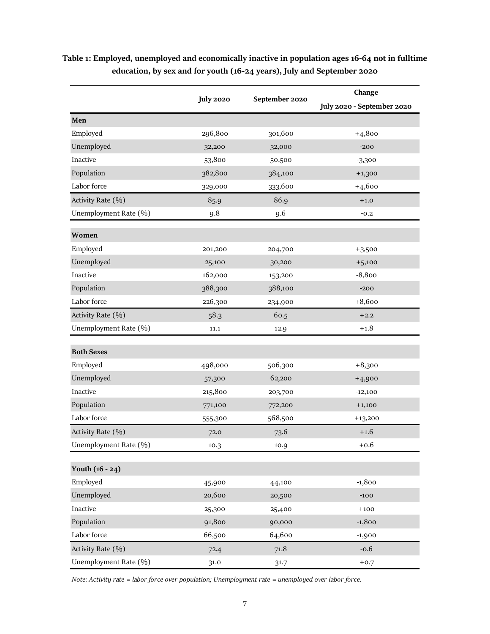|                       | <b>July 2020</b> | September 2020 | Change                     |
|-----------------------|------------------|----------------|----------------------------|
|                       |                  |                | July 2020 - September 2020 |
| Men                   |                  |                |                            |
| Employed              | 296,800          | 301,600        | $+4,800$                   |
| Unemployed            | 32,200           | 32,000         | $-200$                     |
| Inactive              | 53,800           | 50,500         | $-3,300$                   |
| Population            | 382,800          | 384,100        | $+1,300$                   |
| Labor force           | 329,000          | 333,600        | $+4,600$                   |
| Activity Rate (%)     | 85.9             | 86.9           | $+1.0$                     |
| Unemployment Rate (%) | 9.8              | 9.6            | $-0.2$                     |
| Women                 |                  |                |                            |
| Employed              | 201,200          | 204,700        | $+3,500$                   |
| Unemployed            | 25,100           | 30,200         | $+5,100$                   |
| Inactive              | 162,000          | 153,200        | $-8,800$                   |
| Population            | 388,300          | 388,100        | $-200$                     |
| Labor force           | 226,300          | 234,900        | $+8,600$                   |
| Activity Rate (%)     | 58.3             | 60.5           | $+2.2$                     |
| Unemployment Rate (%) | 11.1             | 12.9           | $+1.8$                     |
|                       |                  |                |                            |
| <b>Both Sexes</b>     |                  |                |                            |
| Employed              | 498,000          | 506,300        | $+8,300$                   |
| Unemployed            | 57,300           | 62,200         | $+4,900$                   |
| Inactive              | 215,800          | 203,700        | $-12,100$                  |
| Population            | 771,100          | 772,200        | $+1,100$                   |
| Labor force           | 555,300          | 568,500        | $+13,200$                  |
| Activity Rate (%)     | 72.0             | 73.6           | $+1.6$                     |
| Unemployment Rate (%) | 10.3             | 10.9           | $+0.6$                     |
| Youth $(16 - 24)$     |                  |                |                            |
| Employed              | 45,900           | 44,100         | $-1,800$                   |
| Unemployed            | 20,600           | 20,500         | $-100$                     |
| Inactive              | 25,300           | 25,400         | $+100$                     |
| Population            | 91,800           | 90,000         | $-1,800$                   |
| Labor force           | 66,500           | 64,600         | $-1,900$                   |
| Activity Rate (%)     | 72.4             | 71.8           | $-0.6$                     |
| Unemployment Rate (%) | 31.0             | 31.7           | $+0.7$                     |
|                       |                  |                |                            |

## <span id="page-6-0"></span>**Table 1: Employed, unemployed and economically inactive in population ages 16-64 not in fulltime education, by sex and for youth (16-24 years), July and September 2020**

*Note: Activity rate = labor force over population; Unemployment rate = unemployed over labor force.*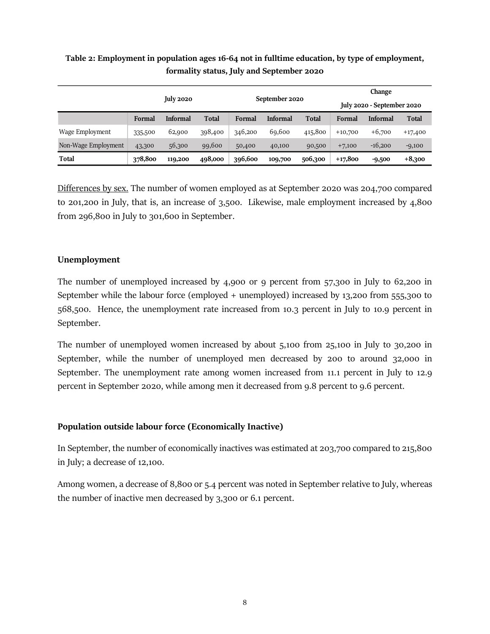|                     |         |                  |              | September 2020 |                 | Change  |           |                            |              |
|---------------------|---------|------------------|--------------|----------------|-----------------|---------|-----------|----------------------------|--------------|
|                     |         | <b>July 2020</b> |              |                |                 |         |           | July 2020 - September 2020 |              |
|                     | Formal  | <b>Informal</b>  | <b>Total</b> | Formal         | <b>Informal</b> | Total   | Formal    | <b>Informal</b>            | <b>Total</b> |
| Wage Employment     | 335,500 | 62,900           | 398,400      | 346,200        | 69,600          | 415,800 | $+10,700$ | $+6,700$                   | $+17,400$    |
| Non-Wage Employment | 43,300  | 56,300           | 99,600       | 50,400         | 40,100          | 90,500  | $+7,100$  | $-16,200$                  | $-9,100$     |
| Total               | 378,800 | 119,200          | 498,000      | 396,600        | 109,700         | 506,300 | $+17,800$ | $-9,500$                   | $+8,300$     |

## <span id="page-7-0"></span>**Table 2: Employment in population ages 16-64 not in fulltime education, by type of employment, formality status, July and September 2020**

Differences by sex. The number of women employed as at September 2020 was 204,700 compared to 201,200 in July, that is, an increase of 3,500. Likewise, male employment increased by 4,800 from 296,800 in July to 301,600 in September.

#### **Unemployment**

The number of unemployed increased by 4,900 or 9 percent from 57,300 in July to 62,200 in September while the labour force (employed + unemployed) increased by 13,200 from 555,300 to 568,500. Hence, the unemployment rate increased from 10.3 percent in July to 10.9 percent in September.

The number of unemployed women increased by about 5,100 from 25,100 in July to 30,200 in September, while the number of unemployed men decreased by 200 to around 32,000 in September. The unemployment rate among women increased from 11.1 percent in July to 12.9 percent in September 2020, while among men it decreased from 9.8 percent to 9.6 percent.

#### **Population outside labour force (Economically Inactive)**

In September, the number of economically inactives was estimated at 203,700 compared to 215,800 in July; a decrease of 12,100.

Among women, a decrease of 8,800 or 5.4 percent was noted in September relative to July, whereas the number of inactive men decreased by 3,300 or 6.1 percent.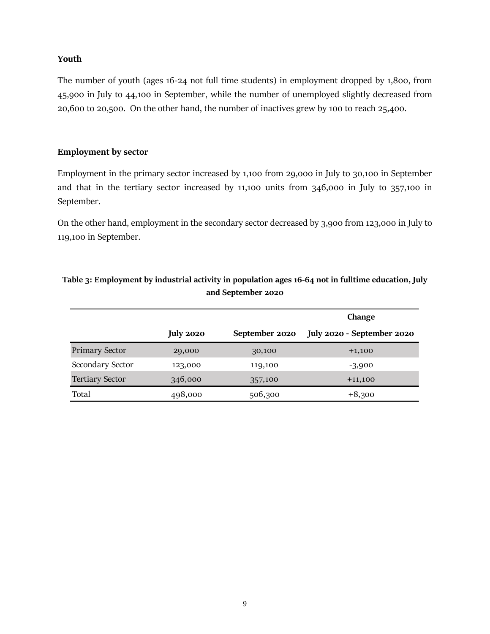#### **Youth**

The number of youth (ages 16-24 not full time students) in employment dropped by 1,800, from 45,900 in July to 44,100 in September, while the number of unemployed slightly decreased from 20,600 to 20,500. On the other hand, the number of inactives grew by 100 to reach 25,400.

#### **Employment by sector**

Employment in the primary sector increased by 1,100 from 29,000 in July to 30,100 in September and that in the tertiary sector increased by 11,100 units from 346,000 in July to 357,100 in September.

On the other hand, employment in the secondary sector decreased by 3,900 from 123,000 in July to 119,100 in September.

|                        |                  |                | Change                     |
|------------------------|------------------|----------------|----------------------------|
|                        | <b>July 2020</b> | September 2020 | July 2020 - September 2020 |
| <b>Primary Sector</b>  | 29,000           | 30,100         | $+1,100$                   |
| Secondary Sector       | 123,000          | 119,100        | $-3,900$                   |
| <b>Tertiary Sector</b> | 346,000          | 357,100        | $+11,100$                  |
| Total                  | 498,000          | 506,300        | $+8,300$                   |

#### <span id="page-8-0"></span>**Table 3: Employment by industrial activity in population ages 16-64 not in fulltime education, July and September 2020**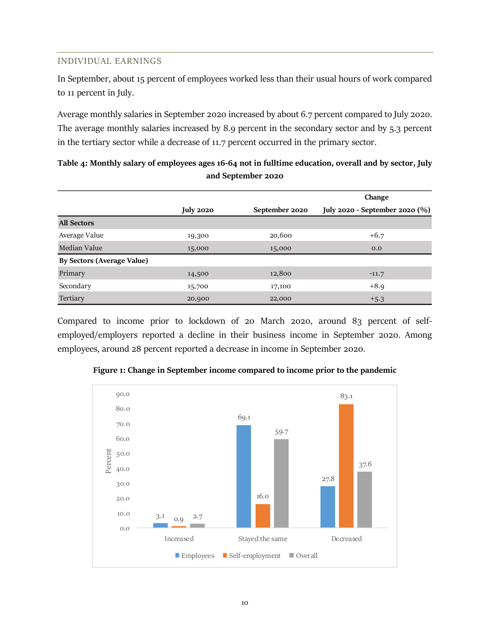#### <span id="page-9-0"></span>INDIVIDUAL EARNINGS

In September, about 15 percent of employees worked less than their usual hours of work compared to 11 percent in July.

Average monthly salaries in September 2020 increased by about 6.7 percent compared to July 2020. The average monthly salaries increased by 8.9 percent in the secondary sector and by 5.3 percent in the tertiary sector while a decrease of 11.7 percent occurred in the primary sector.

|                                   |                  |                | Change                         |
|-----------------------------------|------------------|----------------|--------------------------------|
|                                   | <b>July 2020</b> | September 2020 | July 2020 - September 2020 (%) |
| <b>All Sectors</b>                |                  |                |                                |
| Average Value                     | 19,300           | 20,600         | $+6.7$                         |
| Median Value                      | 15,000           | 15,000         | 0.0                            |
| <b>By Sectors (Average Value)</b> |                  |                |                                |
| Primary                           | 14,500           | 12,800         | $-11.7$                        |
| Secondary                         | 15,700           | 17,100         | $+8.9$                         |
| Tertiary                          | 20,900           | 22,000         | $+5.3$                         |

### <span id="page-9-2"></span>**Table 4: Monthly salary of employees ages 16-64 not in fulltime education, overall and by sector, July and September 2020**

Compared to income prior to lockdown of 20 March 2020, around 83 percent of selfemployed/employers reported a decline in their business income in September 2020. Among employees, around 28 percent reported a decrease in income in September 2020.

<span id="page-9-1"></span>

**Figure 1: Change in September income compared to income prior to the pandemic**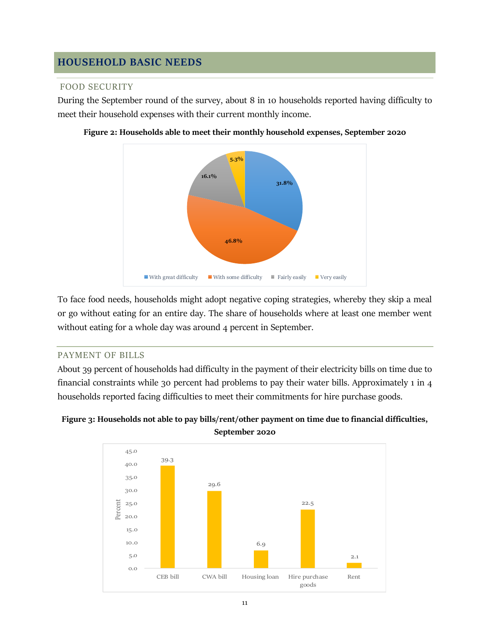## <span id="page-10-0"></span>**HOUSEHOLD BASIC NEEDS**

#### <span id="page-10-1"></span>FOOD SECURITY

During the September round of the survey, about 8 in 10 households reported having difficulty to meet their household expenses with their current monthly income.



<span id="page-10-3"></span>

To face food needs, households might adopt negative coping strategies, whereby they skip a meal or go without eating for an entire day. The share of households where at least one member went without eating for a whole day was around 4 percent in September.

#### <span id="page-10-2"></span>PAYMENT OF BILLS

About 39 percent of households had difficulty in the payment of their electricity bills on time due to financial constraints while 30 percent had problems to pay their water bills. Approximately 1 in 4 households reported facing difficulties to meet their commitments for hire purchase goods.



#### <span id="page-10-4"></span>**Figure 3: Households not able to pay bills/rent/other payment on time due to financial difficulties, September 2020**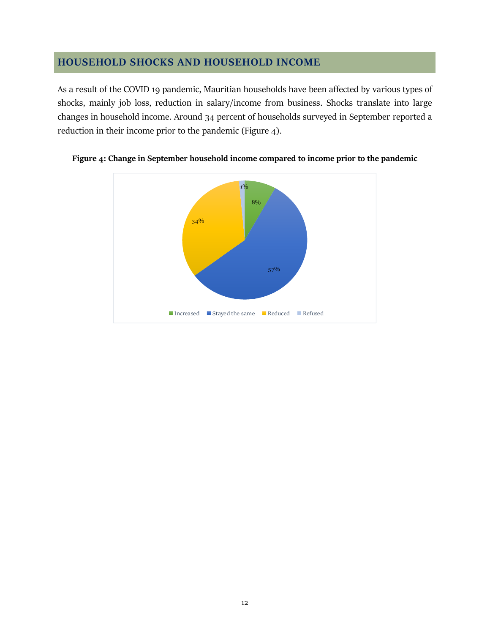## <span id="page-11-0"></span>**HOUSEHOLD SHOCKS AND HOUSEHOLD INCOME**

As a result of the COVID 19 pandemic, Mauritian households have been affected by various types of shocks, mainly job loss, reduction in salary/income from business. Shocks translate into large changes in household income. Around 34 percent of households surveyed in September reported a reduction in their income prior to the pandemic (Figure 4).



<span id="page-11-1"></span>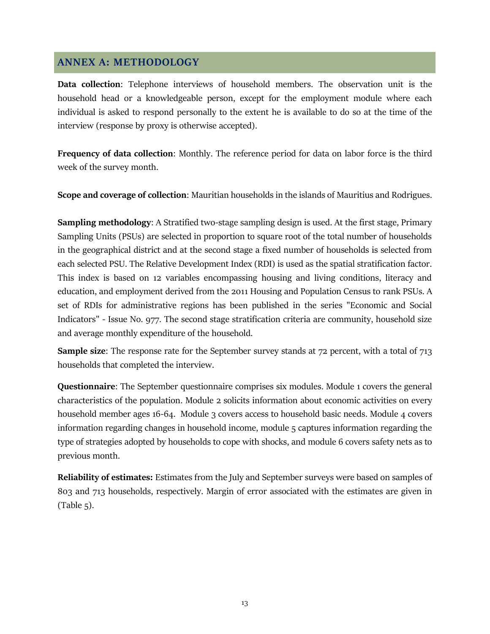## <span id="page-12-0"></span>**ANNEX A: METHODOLOGY**

**Data collection**: Telephone interviews of household members. The observation unit is the household head or a knowledgeable person, except for the employment module where each individual is asked to respond personally to the extent he is available to do so at the time of the interview (response by proxy is otherwise accepted).

**Frequency of data collection**: Monthly. The reference period for data on labor force is the third week of the survey month.

**Scope and coverage of collection**: Mauritian households in the islands of Mauritius and Rodrigues.

**Sampling methodology**: A Stratified two-stage sampling design is used. At the first stage, Primary Sampling Units (PSUs) are selected in proportion to square root of the total number of households in the geographical district and at the second stage a fixed number of households is selected from each selected PSU. The Relative Development Index (RDI) is used as the spatial stratification factor. This index is based on 12 variables encompassing housing and living conditions, literacy and education, and employment derived from the 2011 Housing and Population Census to rank PSUs. A set of RDIs for administrative regions has been published in the series "Economic and Social Indicators" - Issue No. 977. The second stage stratification criteria are community, household size and average monthly expenditure of the household.

**Sample size**: The response rate for the September survey stands at 72 percent, with a total of 713 households that completed the interview.

**Questionnaire**: The September questionnaire comprises six modules. Module 1 covers the general characteristics of the population. Module 2 solicits information about economic activities on every household member ages 16-64. Module 3 covers access to household basic needs. Module 4 covers information regarding changes in household income, module 5 captures information regarding the type of strategies adopted by households to cope with shocks, and module 6 covers safety nets as to previous month.

**Reliability of estimates:** Estimates from the July and September surveys were based on samples of 803 and 713 households, respectively. Margin of error associated with the estimates are given in  $(Table 5)$ .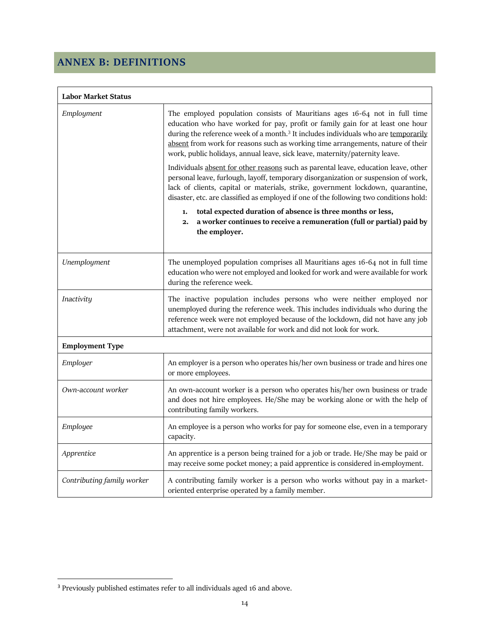# <span id="page-13-0"></span>**ANNEX B: DEFINITIONS**

| <b>Labor Market Status</b> |                                                                                                                                                                                                                                                                                                                                                                                                                                  |  |  |  |
|----------------------------|----------------------------------------------------------------------------------------------------------------------------------------------------------------------------------------------------------------------------------------------------------------------------------------------------------------------------------------------------------------------------------------------------------------------------------|--|--|--|
| Employment                 | The employed population consists of Mauritians ages 16-64 not in full time<br>education who have worked for pay, profit or family gain for at least one hour<br>during the reference week of a month. <sup>3</sup> It includes individuals who are temporarily<br>absent from work for reasons such as working time arrangements, nature of their<br>work, public holidays, annual leave, sick leave, maternity/paternity leave. |  |  |  |
|                            | Individuals absent for other reasons such as parental leave, education leave, other<br>personal leave, furlough, layoff, temporary disorganization or suspension of work,<br>lack of clients, capital or materials, strike, government lockdown, quarantine,<br>disaster, etc. are classified as employed if one of the following two conditions hold:                                                                           |  |  |  |
|                            | total expected duration of absence is three months or less,<br>1.<br>a worker continues to receive a remuneration (full or partial) paid by<br>2.<br>the employer.                                                                                                                                                                                                                                                               |  |  |  |
| Unemployment               | The unemployed population comprises all Mauritians ages 16-64 not in full time<br>education who were not employed and looked for work and were available for work<br>during the reference week.                                                                                                                                                                                                                                  |  |  |  |
| Inactivity                 | The inactive population includes persons who were neither employed nor<br>unemployed during the reference week. This includes individuals who during the<br>reference week were not employed because of the lockdown, did not have any job<br>attachment, were not available for work and did not look for work.                                                                                                                 |  |  |  |
| <b>Employment Type</b>     |                                                                                                                                                                                                                                                                                                                                                                                                                                  |  |  |  |
| Employer                   | An employer is a person who operates his/her own business or trade and hires one<br>or more employees.                                                                                                                                                                                                                                                                                                                           |  |  |  |
| Own-account worker         | An own-account worker is a person who operates his/her own business or trade<br>and does not hire employees. He/She may be working alone or with the help of<br>contributing family workers.                                                                                                                                                                                                                                     |  |  |  |
| Employee                   | An employee is a person who works for pay for someone else, even in a temporary<br>capacity.                                                                                                                                                                                                                                                                                                                                     |  |  |  |
| Apprentice                 | An apprentice is a person being trained for a job or trade. He/She may be paid or<br>may receive some pocket money; a paid apprentice is considered in-employment.                                                                                                                                                                                                                                                               |  |  |  |
| Contributing family worker | A contributing family worker is a person who works without pay in a market-<br>oriented enterprise operated by a family member.                                                                                                                                                                                                                                                                                                  |  |  |  |

 $\overline{a}$ 

<sup>&</sup>lt;sup>3</sup> Previously published estimates refer to all individuals aged 16 and above.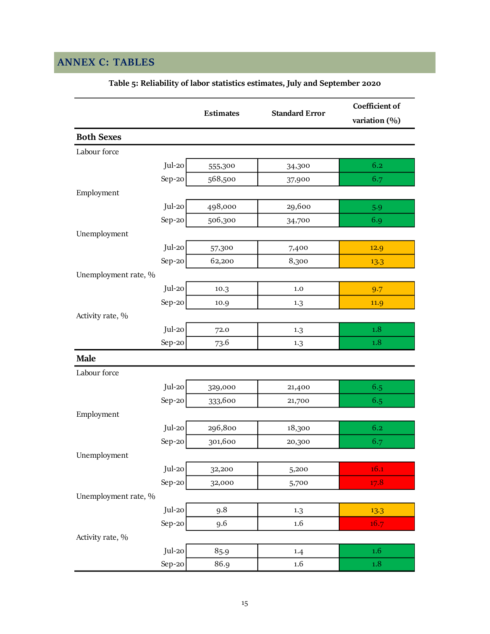# <span id="page-14-1"></span><span id="page-14-0"></span>**ANNEX C: TABLES**

|                      | <b>Estimates</b> | <b>Standard Error</b> | Coefficient of<br>variation (%) |
|----------------------|------------------|-----------------------|---------------------------------|
| <b>Both Sexes</b>    |                  |                       |                                 |
| Labour force         |                  |                       |                                 |
| Jul-20               | 555,300          | 34,300                | 6.2                             |
| Sep-20               | 568,500          | 37,900                | 6.7                             |
| Employment           |                  |                       |                                 |
| Jul-20               | 498,000          | 29,600                | 5.9                             |
| Sep-20               | 506,300          | 34,700                | 6.9                             |
| Unemployment         |                  |                       |                                 |
| Jul-20               | 57,300           | 7,400                 | 12.9                            |
| Sep-20               | 62,200           | 8,300                 | 13.3                            |
| Unemployment rate, % |                  |                       |                                 |
| Jul-20               | 10.3             | 1.0                   | 9.7                             |
| Sep-20               | 10.9             | 1.3                   | 11.9                            |
| Activity rate, %     |                  |                       |                                 |
| Jul-20               | 72.0             | 1.3                   | $1.8\,$                         |
| Sep-20               | 73.6             | 1.3                   | 1.8                             |
| <b>Male</b>          |                  |                       |                                 |
| Labour force         |                  |                       |                                 |
| Jul-20               | 329,000          | 21,400                | 6.5                             |
| Sep-20               | 333,600          | 21,700                | 6.5                             |
| Employment           |                  |                       |                                 |
| Jul-20               | 296,800          | 18,300                | 6.2                             |
| Sep-20               | 301,600          | 20,300                | 6.7                             |
| Unemployment         |                  |                       |                                 |
| Jul-20               | 32,200           | 5,200                 | 16.1                            |
| Sep-20               | 32,000           | 5,700                 | 17.8                            |
| Unemployment rate, % |                  |                       |                                 |
| Jul-20               | 9.8              | 1.3                   | 13.3                            |
| Sep-20               | 9.6              | 1.6                   | 16.7                            |
| Activity rate, %     |                  |                       |                                 |
| Jul-20               | 85.9             | 1.4                   | $1.6\phantom{0}$                |
| Sep-20               | 86.9             | $1.6\,$               | $1.8\,$                         |

**Table 5: Reliability of labor statistics estimates, July and September 2020**